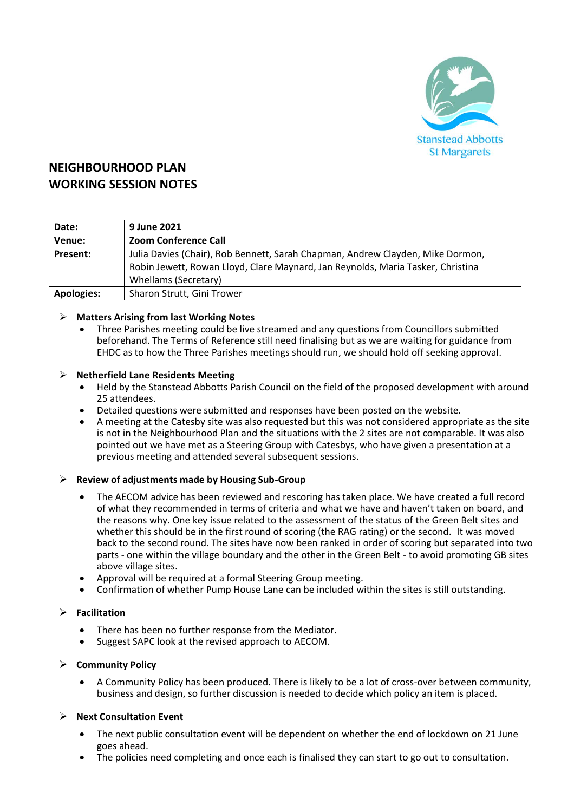

# **NEIGHBOURHOOD PLAN WORKING SESSION NOTES**

| Date:             | 9 June 2021                                                                     |
|-------------------|---------------------------------------------------------------------------------|
| Venue:            | <b>Zoom Conference Call</b>                                                     |
| Present:          | Julia Davies (Chair), Rob Bennett, Sarah Chapman, Andrew Clayden, Mike Dormon,  |
|                   | Robin Jewett, Rowan Lloyd, Clare Maynard, Jan Reynolds, Maria Tasker, Christina |
|                   | Whellams (Secretary)                                                            |
| <b>Apologies:</b> | Sharon Strutt, Gini Trower                                                      |

# ➢ **Matters Arising from last Working Notes**

• Three Parishes meeting could be live streamed and any questions from Councillors submitted beforehand. The Terms of Reference still need finalising but as we are waiting for guidance from EHDC as to how the Three Parishes meetings should run, we should hold off seeking approval.

# ➢ **Netherfield Lane Residents Meeting**

- Held by the Stanstead Abbotts Parish Council on the field of the proposed development with around 25 attendees.
- Detailed questions were submitted and responses have been posted on the website.
- A meeting at the Catesby site was also requested but this was not considered appropriate as the site is not in the Neighbourhood Plan and the situations with the 2 sites are not comparable. It was also pointed out we have met as a Steering Group with Catesbys, who have given a presentation at a previous meeting and attended several subsequent sessions.

### ➢ **Review of adjustments made by Housing Sub-Group**

- The AECOM advice has been reviewed and rescoring has taken place. We have created a full record of what they recommended in terms of criteria and what we have and haven't taken on board, and the reasons why. One key issue related to the assessment of the status of the Green Belt sites and whether this should be in the first round of scoring (the RAG rating) or the second. It was moved back to the second round. The sites have now been ranked in order of scoring but separated into two parts - one within the village boundary and the other in the Green Belt - to avoid promoting GB sites above village sites.
- Approval will be required at a formal Steering Group meeting.
- Confirmation of whether Pump House Lane can be included within the sites is still outstanding.

# ➢ **Facilitation**

- There has been no further response from the Mediator.
- Suggest SAPC look at the revised approach to AECOM.

#### ➢ **Community Policy**

• A Community Policy has been produced. There is likely to be a lot of cross-over between community, business and design, so further discussion is needed to decide which policy an item is placed.

#### ➢ **Next Consultation Event**

- The next public consultation event will be dependent on whether the end of lockdown on 21 June goes ahead.
- The policies need completing and once each is finalised they can start to go out to consultation.